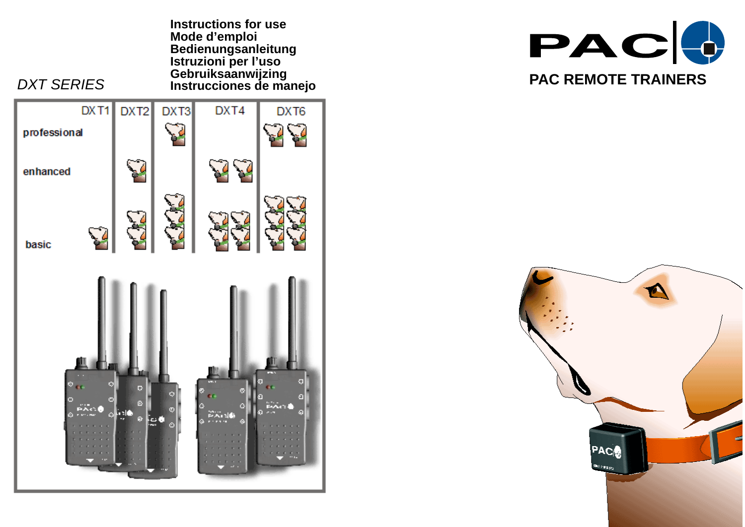**Instructions for use Mode d'emploi Bedienungsanleitung Istruzioni per l'uso Gebruiksaanwijzing**







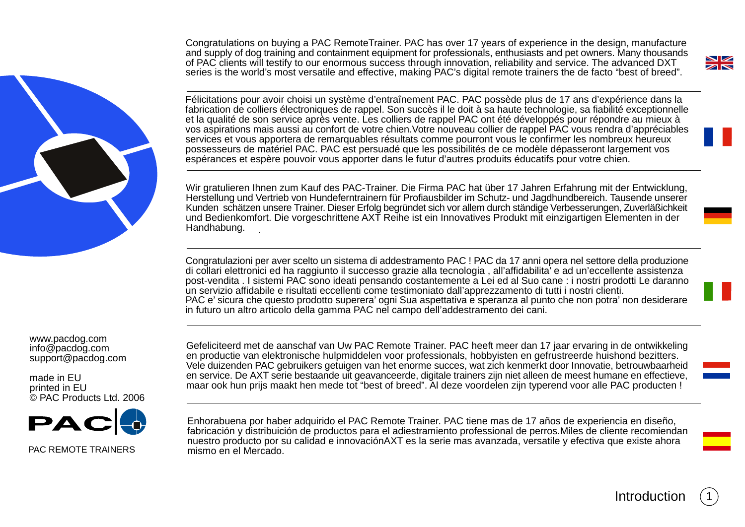Congratulations on buying a PAC RemoteTrainer. PAC has over 17 years of experience in the design, manufacture and supply of dog training and containment equipment for professionals, enthusiasts and pet owners. Many thousands of PAC clients will testify to our enormous success through innovation, reliability and service. The advanced DXT series is the world's most versatile and effective, making PAC's digital remote trainers the de facto "best of breed".



Félicitations pour avoir choisi un système d'entraînement PAC. PAC possède plus de 17 ans d'expérience dans la fabrication de colliers électroniques de rappel. Son succès il le doit à sa haute technologie, sa fiabilité exceptionnelle et la qualité de son service après vente. Les colliers de rappel PAC ont été développés pour répondre au mieux à vos aspirations mais aussi au confort de votre chien.Votre nouveau collier de rappel PAC vous rendra d'appréciables services et vous apportera de remarquables résultats comme pourront vous le confirmer les nombreux heureux possesseurs de matériel PAC. PAC est persuadé que les possibilités de ce modèle dépasseront largement vos espérances et espère pouvoir vous apporter dans le futur d'autres produits éducatifs pour votre chien.

Wir gratulieren Ihnen zum Kauf des PAC-Trainer. Die Firma PAC hat über 17 Jahren Erfahrung mit der Entwicklung, Herstellung und Vertrieb von Hundeferntrainern für Profiausbilder im Schutz- und Jagdhundbereich. Tausende unserer Kunden schätzen unsere Trainer. Dieser Erfolg begründet sich vor allem durch ständige Verbesserungen, Zuverläßichkeit und Bedienkomfort. Die vorgeschrittene AXT Reihe ist ein Innovatives Produkt mit einzigartigen Elementen in der Handhabung.

Congratulazioni per aver scelto un sistema di addestramento PAC ! PAC da 17 anni opera nel settore della produzione di collari elettronici ed ha raggiunto il successo grazie alla tecnologia , all'affidabilita' e ad un'eccellente assistenza post-vendita . I sistemi PAC sono ideati pensando costantemente a Lei ed al Suo cane : i nostri prodotti Le daranno un servizio affidabile e risultati eccellenti come testimoniato dall'apprezzamento di tutti i nostri clienti. PAC e' sicura che questo prodotto superera' ogni Sua aspettativa e speranza al punto che non potra' non desiderare in futuro un altro articolo della gamma PAC nel campo dell'addestramento dei cani.

www.pacdog.com info@pacdog.com support@pacdog.com

made in EU printed in EU © PAC Products Ltd. 2006



PAC REMOTE TRAINERS

Gefeliciteerd met de aanschaf van Uw PAC Remote Trainer. PAC heeft meer dan 17 jaar ervaring in de ontwikkeling en productie van elektronische hulpmiddelen voor professionals, hobbyisten en gefrustreerde huishond bezitters. Vele duizenden PAC gebruikers getuigen van het enorme succes, wat zich kenmerkt door Innovatie, betrouwbaarheid en service. De AXT serie bestaande uit geavanceerde, digitale trainers zijn niet alleen de meest humane en effectieve, maar ook hun prijs maakt hen mede tot "best of breed". Al deze voordelen zijn typerend voor alle PAC producten !

Enhorabuena por haber adquirido el PAC Remote Trainer. PAC tiene mas de 17 años de experiencia en diseño, fabricación y distribuición de productos para el adiestramiento professional de perros.Miles de cliente recomiendan nuestro producto por su calidad e innovaciónAXT es la serie mas avanzada, versatile y efectiva que existe ahora mismo en el Mercado.

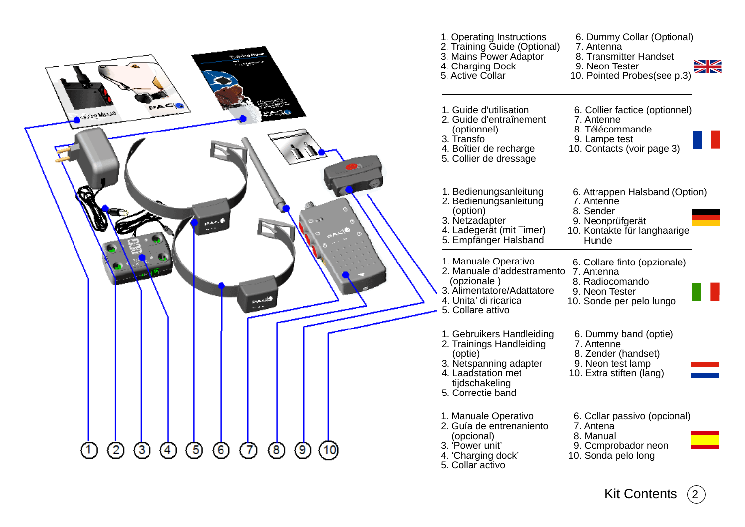

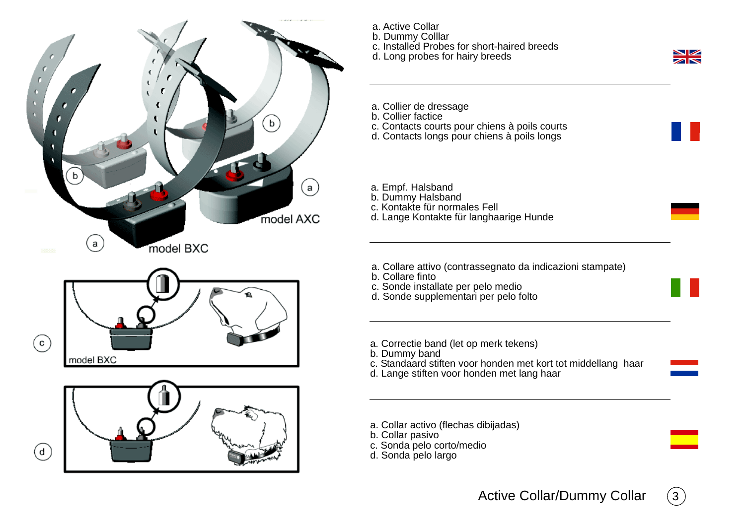





- a. Active Collar
- b. Dummy Colllar
- c. Installed Probes for short-haired breeds
- d. Long probes for hairy breeds

NZ  $\overline{\mathbf{z}}$ 

- a. Collier de dressage
- b. Collier factice
- c. Contacts courts pour chiens à poils courts
- d. Contacts longs pour chiens à poils longs
- a. Empf. Halsband
- b. Dummy Halsband
- c. Kontakte für normales Fell
- d. Lange Kontakte für langhaarige Hunde
- a. Collare attivo (contrassegnato da indicazioni stampate)
- b. Collare finto
- c. Sonde installate per pelo medio
- d. Sonde supplementari per pelo folto
- a. Correctie band (let op merk tekens)
- b. Dummy band
- c. Standaard stiften voor honden met kort tot middellang haar
- d. Lange stiften voor honden met lang haar
- a. Collar activo (flechas dibijadas)
- b. Collar pasivo
- c. Sonda pelo corto/medio
- d. Sonda pelo largo

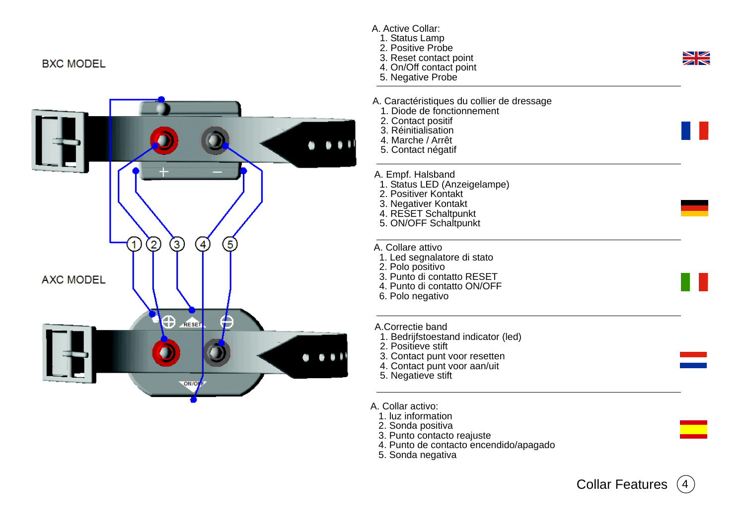## **BXC MODEL**



- A. Active Collar: 1. Status Lamp 2. Positive Probe  $\frac{\sum_{i=1}^{n} x_i}{\sum_{i=1}^{n} x_i}$  3. Reset contact point 4. On/Off contact point 5. Negative Probe A. Caractéristiques du collier de dressage 1. Diode de fonctionnement 2. Contact positif 3. Réinitialisation 4. Marche / Arrêt 5. Contact négatif A. Empf. Halsband 1. Status LED (Anzeigelampe) 2. Positiver Kontakt 3. Negativer Kontakt 4. RESET Schaltpunkt 5. ON/OFF Schaltpunkt A. Collare attivo 1. Led segnalatore di stato 2. Polo positivo 3. Punto di contatto RESET 4. Punto di contatto ON/OFF 6. Polo negativo A.Correctie band 1. Bedrijfstoestand indicator (led) 2. Positieve stift 3. Contact punt voor resetten 4. Contact punt voor aan/uit 5. Negatieve stift
	- A. Collar activo:
		- 1. luz information
		- 2. Sonda positiva
		- 3. Punto contacto reajuste
		- 4. Punto de contacto encendido/apagado
		- 5. Sonda negativa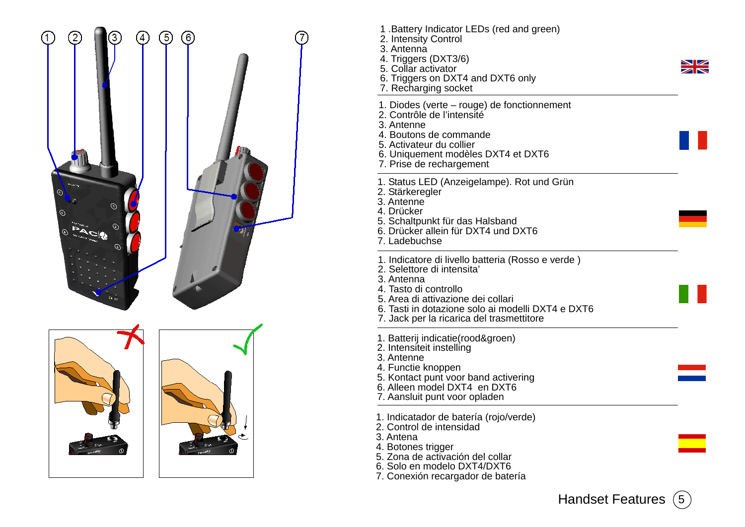

- 1 .Battery Indicator LEDs (red and green)
- 2. Intensity Control
- 3. Antenna
- 4. Triggers (DXT3/6)
- 5. Collar activator
- 6. Triggers on DXT4 and DXT6 only
- 7. Recharging socket
- 1. Diodes (verte rouge) de fonctionnement
- 2. Contrôle de l'intensité
- 3. Antenne
- 4. Boutons de commande
- 5. Activateur du collier
- 6. Uniquement modèles DXT4 et DXT6
- 7. Prise de rechargement
- 1. Status LED (Anzeigelampe). Rot und Grün
- 2. Stärkeregler
- 3. Antenne
- 4. Drücker
- 5. Schaltpunkt für das Halsband
- 6. Drücker allein für DXT4 und DXT6
- 7. Ladebuchse
- 1. Indicatore di livello batteria (Rosso e verde )
- 2. Selettore di intensita'
- 3. Antenna
- 4. Tasto di controllo
- 5. Area di attivazione dei collari
- 6. Tasti in dotazione solo ai modelli DXT4 e DXT6
- 7. Jack per la ricarica del trasmettitore
- 1. Batterij indicatie(rood&groen)
- 2. Intensiteit instelling
- 3. Antenne
- 4. Functie knoppen
- 5. Kontact punt voor band activering
- 6. Alleen model DXT4 en DXT6
- 7. Aansluit punt voor opladen
- 1. Indicatador de batería (rojo/verde)
- 2. Control de intensidad
- 3. Antena
- 4. Botones trigger
- 5. Zona de activación del collar
- 6. Solo en modelo DXT4/DXT6
- 7. Conexión recargador de batería

 $\overline{\mathbf{z}}$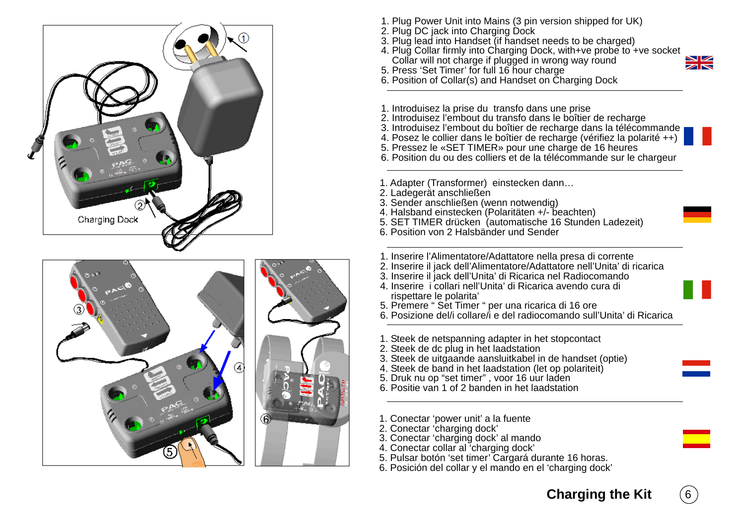



- 1. Plug Power Unit into Mains (3 pin version shipped for UK)
- 2. Plug DC jack into Charging Dock
- 3. Plug lead into Handset (if handset needs to be charged)
- 4. Plug Collar firmly into Charging Dock, with+ve probe to +ve socket Collar will not charge if plugged in wrong way round
- 5. Press 'Set Timer' for full 16 hour charge



- 6. Position of Collar(s) and Handset on Charging Dock
- 1. Introduisez la prise du transfo dans une prise
- 2. Introduisez l'embout du transfo dans le boîtier de recharge
- 3. Introduisez l'embout du boîtier de recharge dans la télécommande
- 4. Posez le collier dans le boîtier de recharge (vérifiez la polarité ++)
- 5. Pressez le «SET TIMER» pour une charge de 16 heures
- 6. Position du ou des colliers et de la télécommande sur le chargeur
- 1. Adapter (Transformer) einstecken dann…
- 2. Ladegerät anschließen
- 3. Sender anschließen (wenn notwendig)
- 4. Halsband einstecken (Polaritäten +/- beachten)
- 5. SET TIMER drücken (automatische 16 Stunden Ladezeit)
- 6. Position von 2 Halsbänder und Sender
- 1. Inserire l'Alimentatore/Adattatore nella presa di corrente
- 2. Inserire il jack dell'Alimentatore/Adattatore nell'Unita' di ricarica
- 3. Inserire il jack dell'Unita' di Ricarica nel Radiocomando
- 4. Inserire i collari nell'Unita' di Ricarica avendo cura di rispettare le polarita'
- 5. Premere " Set Timer " per una ricarica di 16 ore
- 6. Posizione del/i collare/i e del radiocomando sull'Unita' di Ricarica
- 1. Steek de netspanning adapter in het stopcontact
- 2. Steek de dc plug in het laadstation
- 3. Steek de uitgaande aansluitkabel in de handset (optie)
- 4. Steek de band in het laadstation (let op polariteit)
- 5. Druk nu op "set timer" , voor 16 uur laden
- 6. Positie van 1 of 2 banden in het laadstation
- 1. Conectar 'power unit' a la fuente
- 2. Conectar 'charging dock'
- 3. Conectar 'charging dock' al mando
- 4. Conectar collar al 'charging dock'
- 5. Pulsar botón 'set timer' Cargará durante 16 horas.
- 6. Posición del collar y el mando en el 'charging dock'



 $6<sup>6</sup>$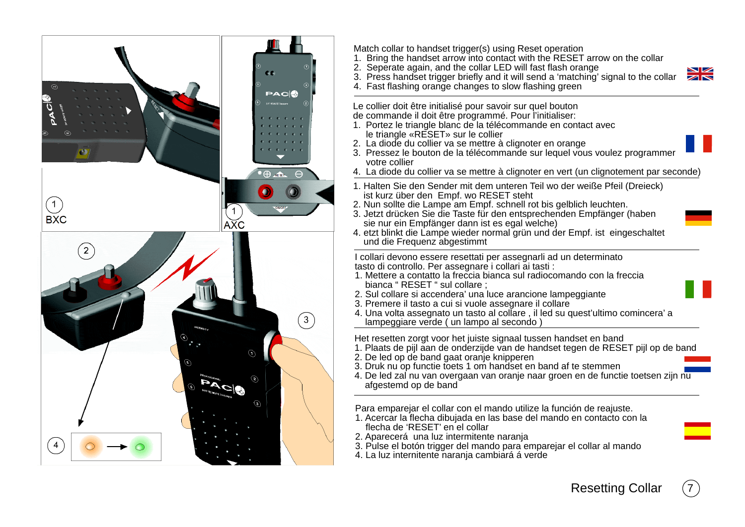

Match collar to handset trigger(s) using Reset operation

- 1. Bring the handset arrow into contact with the RESET arrow on the collar
- 2. Seperate again, and the collar LED will fast flash orange

3. Press handset trigger briefly and it will send a 'matching' signal to the collar

4. Fast flashing orange changes to slow flashing green

Le collier doit être initialisé pour savoir sur quel bouton

de commande il doit être programmé. Pour l'initialiser:

- 1. Portez le triangle blanc de la télécommande en contact avec le triangle «RESET» sur le collier
- 2. La diode du collier va se mettre à clignoter en orange
- 3. Pressez le bouton de la télécommande sur lequel vous voulez programmer votre collier
- 4. La diode du collier va se mettre à clignoter en vert (un clignotement par seconde)
- 1. Halten Sie den Sender mit dem unteren Teil wo der weiße Pfeil (Dreieck) ist kurz über den Empf. wo RESET steht
- 2. Nun sollte die Lampe am Empf. schnell rot bis gelblich leuchten.
- 3. Jetzt drücken Sie die Taste für den entsprechenden Empfänger (haben sie nur ein Empfänger dann ist es egal welche)
- 4. etzt blinkt die Lampe wieder normal grün und der Empf. ist eingeschaltet und die Frequenz abgestimmt

I collari devono essere resettati per assegnarli ad un determinato tasto di controllo. Per assegnare i collari ai tasti :

- 1. Mettere a contatto la freccia bianca sul radiocomando con la freccia bianca " RESET " sul collare ;
- 2. Sul collare si accendera' una luce arancione lampeggiante
- 3. Premere il tasto a cui si vuole assegnare il collare
- 4. Una volta assegnato un tasto al collare , il led su quest'ultimo comincera' a lampeggiare verde ( un lampo al secondo )

Het resetten zorgt voor het juiste signaal tussen handset en band

- 1. Plaats de pijl aan de onderzijde van de handset tegen de RESET pijl op de band
- 2. De led op de band gaat oranje knipperen
- 3. Druk nu op functie toets 1 om handset en band af te stemmen
- 4. De led zal nu van overgaan van oranje naar groen en de functie toetsen zijn nu afgestemd op de band

Para emparejar el collar con el mando utilize la función de reajuste.

- 1. Acercar la flecha dibujada en las base del mando en contacto con la flecha de 'RESET' en el collar
- 2. Aparecerá una luz intermitente naranja
- 3. Pulse el botón trigger del mando para emparejar el collar al mando
- 4. La luz internitente naranja cambiará á verde

 $7^{\circ}$ 

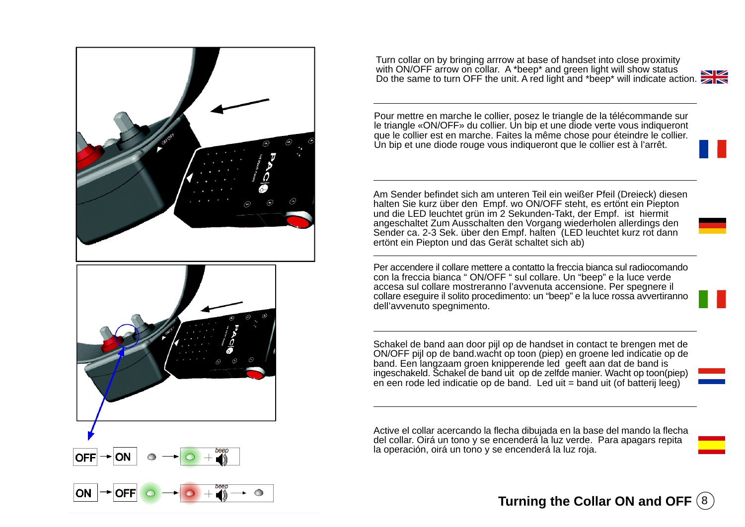

Turn collar on by bringing arrrow at base of handset into close proximity with ON/OFF arrow on collar. A \*beep\* and green light will show status Do the same to turn OFF the unit. A red light and \*beep\* will indicate action.



Pour mettre en marche le collier, posez le triangle de la télécommande sur le triangle «ON/OFF» du collier. Un bip et une diode verte vous indiqueront que le collier est en marche. Faites la même chose pour éteindre le collier. Un bip et une diode rouge vous indiqueront que le collier est à l'arrêt.

Am Sender befindet sich am unteren Teil ein weißer Pfeil (Dreieck) diesen halten Sie kurz über den Empf. wo ON/OFF steht, es ertönt ein Piepton und die LED leuchtet grün im 2 Sekunden-Takt, der Empf. ist hiermit angeschaltet Zum Ausschalten den Vorgang wiederholen allerdings den Sender ca. 2-3 Sek. über den Empf. halten (LED leuchtet kurz rot dann ertönt ein Piepton und das Gerät schaltet sich ab)

Per accendere il collare mettere a contatto la freccia bianca sul radiocomando con la freccia bianca " ON/OFF " sul collare. Un "beep" e la luce verde accesa sul collare mostreranno l'avvenuta accensione. Per spegnere il collare eseguire il solito procedimento: un "beep" e la luce rossa avvertiranno dell'avvenuto spegnimento.

Schakel de band aan door pijl op de handset in contact te brengen met de ON/OFF pijl op de band.wacht op toon (piep) en groene led indicatie op de band. Een langzaam groen knipperende led geeft aan dat de band is ingeschakeld. Schakel de band uit op de zelfde manier. Wacht op toon(piep) en een rode led indicatie op de band. Led uit = band uit (of batterij leeg)

Active el collar acercando la flecha dibujada en la base del mando la flecha del collar. Oirá un tono y se encenderá la luz verde. Para apagars repita la operación, oirá un tono y se encenderá la luz roja.

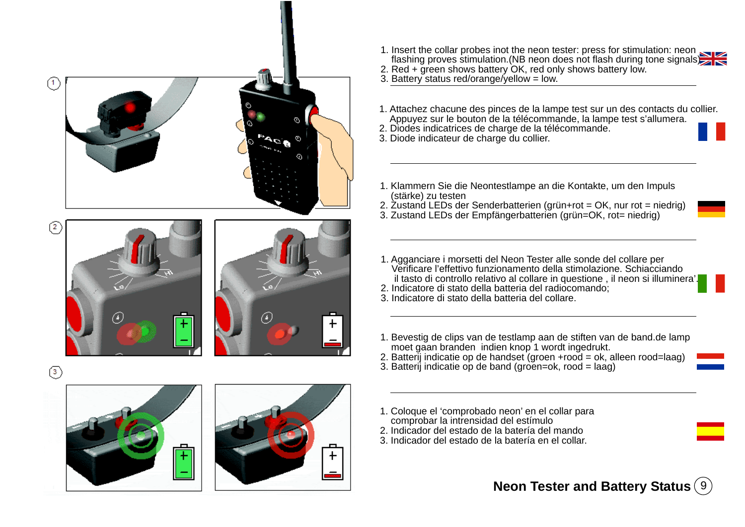

- 1. Insert the collar probes inot the neon tester: press for stimulation: neon flashing proves stimulation.(NB neon does not flash during tone signals)
- 2. Red + green shows battery OK, red only shows battery low.

3. Battery status red/orange/yellow = low.

- 1. Attachez chacune des pinces de la lampe test sur un des contacts du collier. Appuyez sur le bouton de la télécommande, la lampe test s'allumera.
- 2. Diodes indicatrices de charge de la télécommande.
- 3. Diode indicateur de charge du collier.
- 1. Klammern Sie die Neontestlampe an die Kontakte, um den Impuls (stärke) zu testen
- 2. Zustand LEDs der Senderbatterien (grün+rot = OK, nur rot = niedrig)
- 3. Zustand LEDs der Empfängerbatterien (grün=OK, rot= niedrig)
- 1. Agganciare i morsetti del Neon Tester alle sonde del collare per Verificare l'effettivo funzionamento della stimolazione. Schiacciando il tasto di controllo relativo al collare in questione , il neon si illuminera'.
- 2. Indicatore di stato della batteria del radiocomando;
- 3. Indicatore di stato della batteria del collare.
- 1. Bevestig de clips van de testlamp aan de stiften van de band.de lamp moet gaan branden indien knop 1 wordt ingedrukt.
- 2. Batterij indicatie op de handset (groen +rood = ok, alleen rood=laag)
- 3. Batterij indicatie op de band (groen=ok, rood =  $la$ g)
- 1. Coloque el 'comprobado neon' en el collar para comprobar la intrensidad del estímulo
- 2. Indicador del estado de la batería del mando
- 3. Indicador del estado de la batería en el collar.

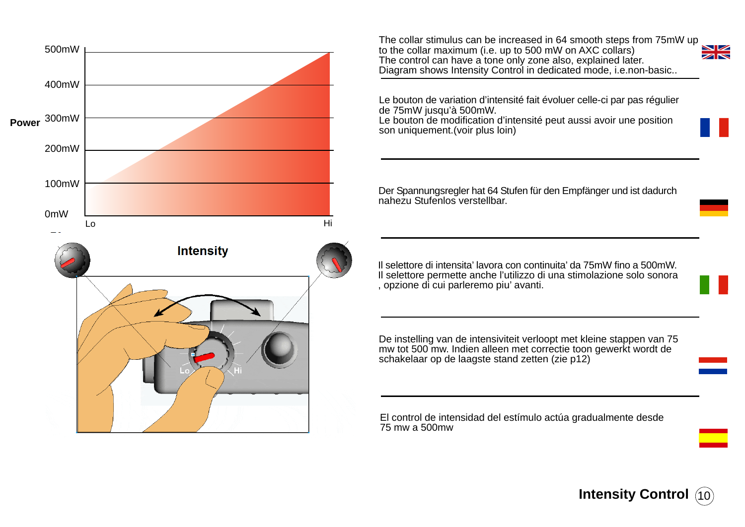

The collar stimulus can be increased in 64 smooth steps from 75mW up to the collar maximum (i.e. up to 500 mW on AXC collars)  $\blacktriangleright$ The control can have a tone only zone also, explained later. Diagram shows Intensity Control in dedicated mode, i.e.non-basic..



Le bouton de modification d'intensité peut aussi avoir une position son uniquement.(voir plus loin)

Der Spannungsregler hat 64 Stufen für den Empfänger und ist dadurch nahezu Stufenlos verstellbar.

Il selettore di intensita' lavora con continuita' da 75mW fino a 500mW. Il selettore permette anche l'utilizzo di una stimolazione solo sonora , opzione di cui parleremo piu' avanti.

De instelling van de intensiviteit verloopt met kleine stappen van 75 mw tot 500 mw. Indien alleen met correctie toon gewerkt wordt de schakelaar op de laagste stand zetten (zie p12)

El control de intensidad del estímulo actúa gradualmente desde 75 mw a 500mw

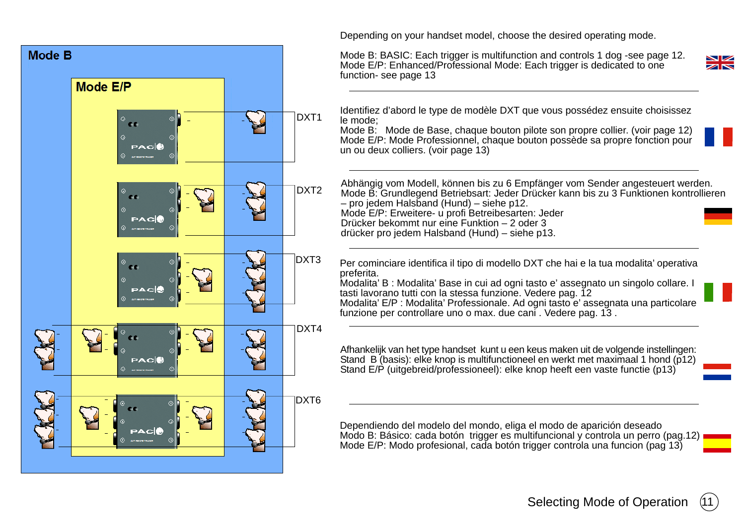

Depending on your handset model, choose the desired operating mode.

Mode B: BASIC: Each trigger is multifunction and controls 1 dog -see page 12. Mode E/P: Enhanced/Professional Mode: Each trigger is dedicated to one



Identifiez d'abord le type de modèle DXT que vous possédez ensuite choisissez

Mode B: Mode de Base, chaque bouton pilote son propre collier. (voir page 12) Mode E/P: Mode Professionnel, chaque bouton possède sa propre fonction pour un ou deux colliers. (voir page 13)

Abhängig vom Modell, können bis zu 6 Empfänger vom Sender angesteuert werden. Mode B: Grundlegend Betriebsart: Jeder Drücker kann bis zu 3 Funktionen kontrollieren – pro jedem Halsband (Hund) – siehe p12. Mode E/P: Erweitere- u profi Betreibesarten: Jeder Drücker bekommt nur eine Funktion – 2 oder 3 drücker pro jedem Halsband (Hund) – siehe p13.

Per cominciare identifica il tipo di modello DXT che hai e la tua modalita' operativa

Modalita' B : Modalita' Base in cui ad ogni tasto e' assegnato un singolo collare. I tasti lavorano tutti con la stessa funzione. Vedere pag. 12 Modalita' E/P : Modalita' Professionale. Ad ogni tasto e' assegnata una particolare

funzione per controllare uno o max. due cani . Vedere pag. 13 .

Afhankelijk van het type handset kunt u een keus maken uit de volgende instellingen: Stand B (basis): elke knop is multifunctioneel en werkt met maximaal 1 hond (p12) Stand E/P (uitgebreid/professioneel): elke knop heeft een vaste functie (p13)

Dependiendo del modelo del mondo, eliga el modo de aparición deseado Modo B: Básico: cada botón trigger es multifuncional y controla un perro (pag.12) Mode E/P: Modo profesional, cada botón trigger controla una funcion (pag<sup>'13)</sup>

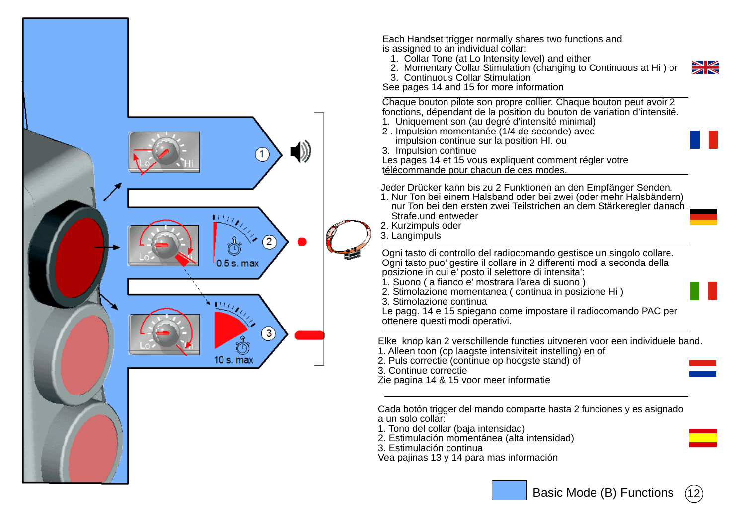

Each Handset trigger normally shares two functions and is assigned to an individual collar:

- 1. Collar Tone (at Lo Intensity level) and either
- 2. Momentary Collar Stimulation (changing to Continuous at Hi ) or
- 3. Continuous Collar Stimulation
- See pages 14 and 15 for more information

Chaque bouton pilote son propre collier. Chaque bouton peut avoir 2 fonctions, dépendant de la position du bouton de variation d'intensité.

- 1. Uniquement son (au degré d'intensité minimal)
- 2 . Impulsion momentanée (1/4 de seconde) avec impulsion continue sur la position HI. ou
- 3. Impulsion continue

Les pages 14 et 15 vous expliquent comment régler votre télécommande pour chacun de ces modes.

Jeder Drücker kann bis zu 2 Funktionen an den Empfänger Senden.

- 1. Nur Ton bei einem Halsband oder bei zwei (oder mehr Halsbändern) nur Ton bei den ersten zwei Teilstrichen an dem Stärkeregler danach Strafe.und entweder
- 2. Kurzimpuls oder
- 3. Langimpuls

Ogni tasto di controllo del radiocomando gestisce un singolo collare. Ogni tasto puo' gestire il collare in 2 differenti modi a seconda della posizione in cui e' posto il selettore di intensita':

- 1. Suono ( a fianco e' mostrara l'area di suono )
- 2. Stimolazione momentanea ( continua in posizione Hi )
- 3. Stimolazione continua

Le pagg. 14 e 15 spiegano come impostare il radiocomando PAC per ottenere questi modi operativi.

Elke knop kan 2 verschillende functies uitvoeren voor een individuele band.

- 1. Alleen toon (op laagste intensiviteit instelling) en of
- 2. Puls correctie (continue op hoogste stand) of

3. Continue correctie

Zie pagina 14 & 15 voor meer informatie

Cada botón trigger del mando comparte hasta 2 funciones y es asignado a un solo collar:

- 1. Tono del collar (baja intensidad)
- 2. Estimulación momentánea (alta intensidad)
- 3. Estimulación continua
- Vea pajinas 13 y 14 para mas información



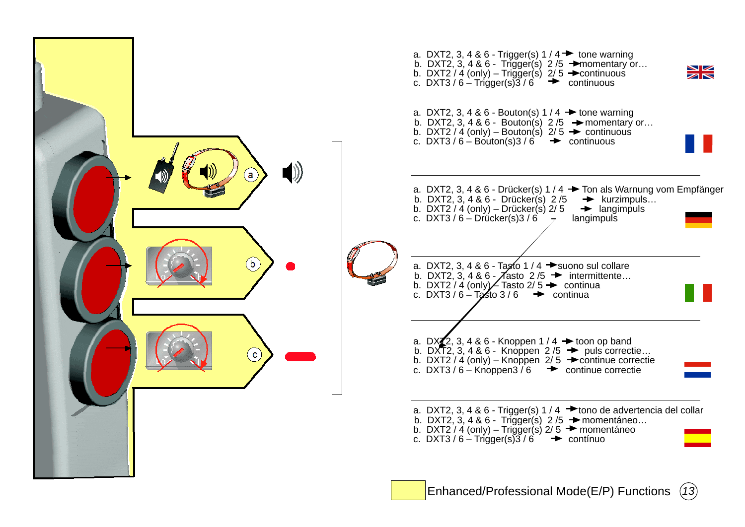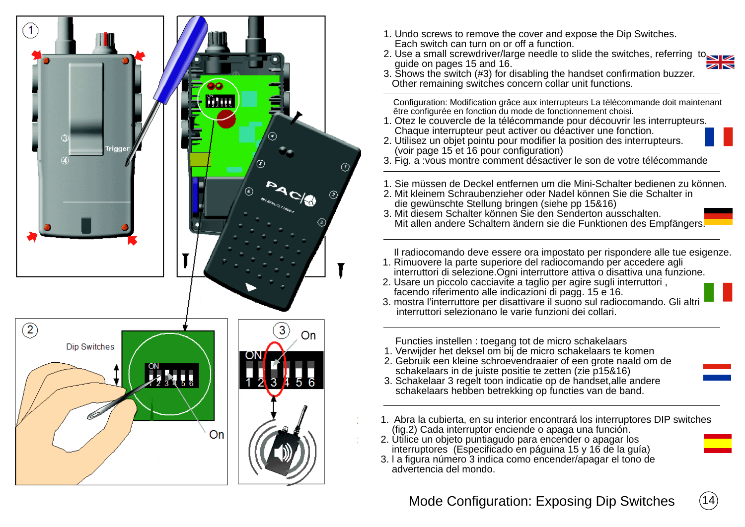

- 1. Undo screws to remove the cover and expose the Dip Switches. Each switch can turn on or off a function.
- 2. Use a small screwdriver/large needle to slide the switches, referring to guide on pages 15 and 16.  $\overline{\mathbb{Z}}$
- 3. Shows the switch (#3) for disabling the handset confirmation buzzer. Other remaining switches concern collar unit functions.

 Configuration: Modification grâce aux interrupteurs La télécommande doit maintenant être configurée en fonction du mode de fonctionnement choisi.

- 1. Otez le couvercle de la télécommande pour découvrir les interrupteurs. Chaque interrupteur peut activer ou déactiver une fonction.
- 2. Utilisez un objet pointu pour modifier la position des interrupteurs. (voir page 15 et 16 pour configuration)

3. Fig. a :vous montre comment désactiver le son de votre télécommande

- 1. Sie müssen de Deckel entfernen um die Mini-Schalter bedienen zu können.
- 2. Mit kleinem Schraubenzieher oder Nadel können Sie die Schalter in die gewünschte Stellung bringen (siehe pp 15&16)
- 3. Mit diesem Schalter können Sie den Senderton ausschalten. Mit allen andere Schaltern ändern sie die Funktionen des Empfängers.

 Il radiocomando deve essere ora impostato per rispondere alle tue esigenze. 1. Rimuovere la parte superiore del radiocomando per accedere agli

- interruttori di selezione.Ogni interruttore attiva o disattiva una funzione.
- 2. Usare un piccolo cacciavite a taglio per agire sugli interruttori , facendo riferimento alle indicazioni di pagg. 15 e 16.
- 3. mostra l'interruttore per disattivare il suono sul radiocomando. Gli altri interruttori selezionano le varie funzioni dei collari.

Functies instellen : toegang tot de micro schakelaars

- 1. Verwijder het deksel om bij de micro schakelaars te komen
- 2. Gebruik een kleine schroevendraaier of een grote naald om de schakelaars in de juiste positie te zetten (zie p15&16)
- 3. Schakelaar 3 regelt toon indicatie op de handset,alle andere schakelaars hebben betrekking op functies van de band.
- 1. Abra la cubierta, en su interior encontrará los interruptores DIP switches (fig.2) Cada interruptor enciende o apaga una función.
- 2. Utilice un objeto puntiagudo para encender o apagar los interruptores (Especificado en páguina 15 y 16 de la guía)
- 3. l a figura número 3 indica como encender/apagar el tono de advertencia del mondo.

## Mode Configuration: Exposing Dip Switches (14)

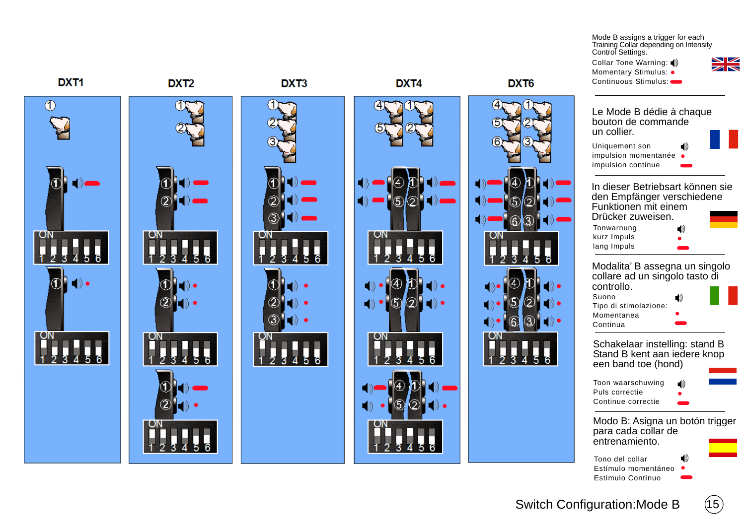Mode B assigns a trigger for each Training Collar depending on Intensity Control Settings.







DXT<sub>1</sub>

Switch Configuration: Mode B (15)

Estímulo momentáneo Estímulo Contínuo

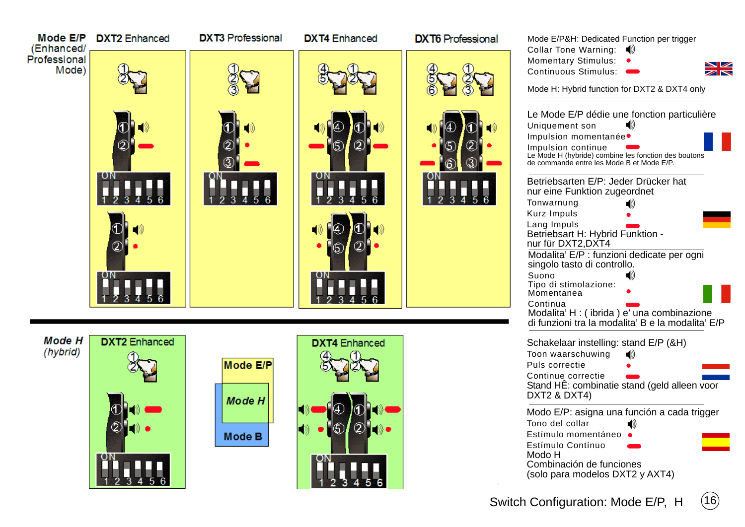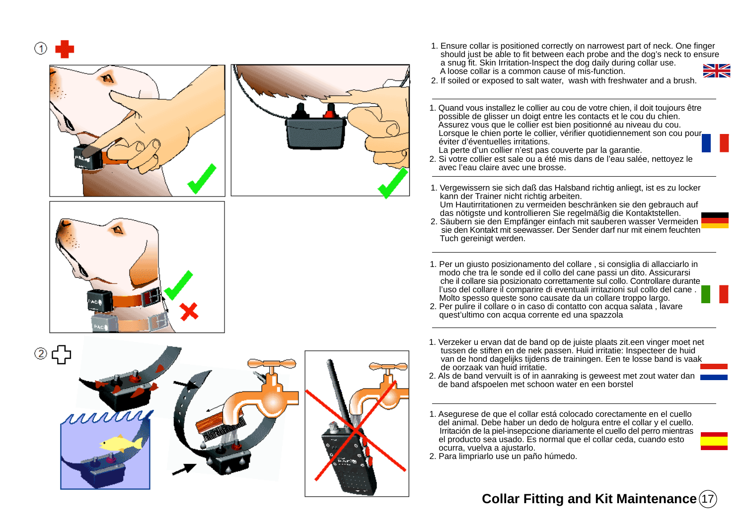







1. Ensure collar is positioned correctly on narrowest part of neck. One finger should just be able to fit between each probe and the dog's neck to ensure a snug fit. Skin Irritation-Inspect the dog daily during collar use. **NIZ** A loose collar is a common cause of mis-function.



- 2. If soiled or exposed to salt water, wash with freshwater and a brush.
- 1. Quand vous installez le collier au cou de votre chien, il doit toujours être possible de glisser un doigt entre les contacts et le cou du chien. Assurez vous que le collier est bien positionné au niveau du cou. Lorsque le chien porte le collier, vérifier quotidiennement son cou pour éviter d'éventuelles irritations.
	- La perte d'un collier n'est pas couverte par la garantie.
- 2. Si votre collier est sale ou a été mis dans de l'eau salée, nettoyez le avec l'eau claire avec une brosse.
- 1. Vergewissern sie sich daß das Halsband richtig anliegt, ist es zu locker kann der Trainer nicht richtig arbeiten.
- Um Hautirritationen zu vermeiden beschränken sie den gebrauch auf das nötigste und kontrollieren Sie regelmäßig die Kontaktstellen.
- 2. Säubern sie den Empfänger einfach mit sauberen wasser Vermeiden sie den Kontakt mit seewasser. Der Sender darf nur mit einem feuchten Tuch gereinigt werden.
- 1. Per un giusto posizionamento del collare , si consiglia di allacciarlo in modo che tra le sonde ed il collo del cane passi un dito. Assicurarsi che il collare sia posizionato correttamente sul collo. Controllare durante l'uso del collare il comparire di eventuali irritazioni sul collo del cane . Molto spesso queste sono causate da un collare troppo largo.
- 2. Per pulire il collare o in caso di contatto con acqua salata , lavare quest'ultimo con acqua corrente ed una spazzola
- 1. Verzeker u ervan dat de band op de juiste plaats zit.een vinger moet net tussen de stiften en de nek passen. Huid irritatie: Inspecteer de huid van de hond dagelijks tijdens de trainingen. Een te losse band is vaak de oorzaak van huid irritatie.
- 2. Als de band vervuilt is of in aanraking is geweest met zout water dan de band afspoelen met schoon water en een borstel
- 1. Asegurese de que el collar está colocado corectamente en el cuello del animal. Debe haber un dedo de holgura entre el collar y el cuello. Irritación de la piel-insepccione diariamente el cuello del perro mientras el producto sea usado. Es normal que el collar ceda, cuando esto ocurra, vuelva a ajustarlo.
- 2. Para limpriarlo use un paño húmedo.

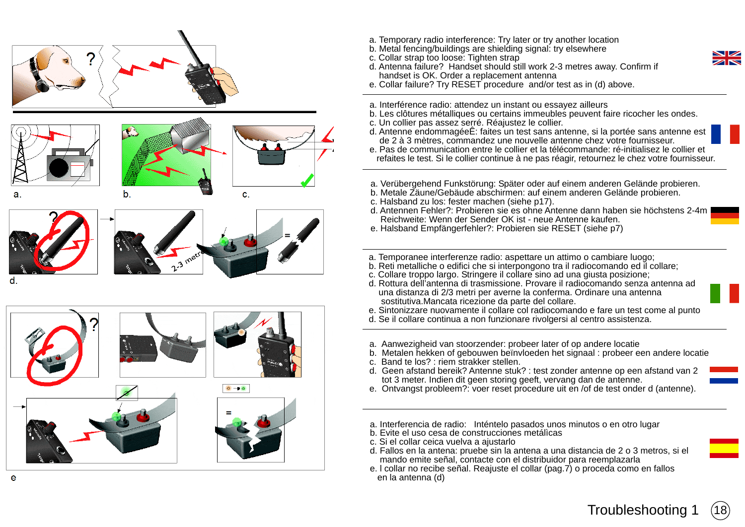

- 
- $\circ \circ$
- a. Temporary radio interference: Try later or try another location
- b. Metal fencing/buildings are shielding signal: try elsewhere
- c. Collar strap too loose: Tighten strap
- d. Antenna failure? Handset should still work 2-3 metres away. Confirm if handset is OK. Order a replacement antenna
- e. Collar failure? Try RESET procedure and/or test as in (d) above.
- a. Interférence radio: attendez un instant ou essayez ailleurs
- b. Les clôtures métalliques ou certains immeubles peuvent faire ricocher les ondes.
- c. Un collier pas assez serré. Réajustez le collier.
- d. Antenne endommagéeÊ: faites un test sans antenne, si la portée sans antenne est de 2 à 3 mètres, commandez une nouvelle antenne chez votre fournisseur.
- e. Pas de communication entre le collier et la télécommande: ré-initialisez le collier et refaites le test. Si le collier continue à ne pas réagir, retournez le chez votre fournisseur.
- a. Verübergehend Funkstörung: Später oder auf einem anderen Gelände probieren.
- b. Metale Zäune/Gebäude abschirmen: auf einem anderen Gelände probieren.
- c. Halsband zu los: fester machen (siehe p17).
- d. Antennen Fehler?: Probieren sie es ohne Antenne dann haben sie höchstens 2-4m Reichweite: Wenn der Sender OK ist - neue Antenne kaufen.
- e. Halsband Empfängerfehler?: Probieren sie RESET (siehe p7)
- a. Temporanee interferenze radio: aspettare un attimo o cambiare luogo;
- b. Reti metalliche o edifici che si interpongono tra il radiocomando ed il collare;
- c. Collare troppo largo. Stringere il collare sino ad una giusta posizione;
- d. Rottura dell'antenna di trasmissione. Provare il radiocomando senza antenna ad una distanza di 2/3 metri per averne la conferma. Ordinare una antenna sostitutiva.Mancata ricezione da parte del collare.
- e. Sintonizzare nuovamente il collare col radiocomando e fare un test come al punto
- d. Se il collare continua a non funzionare rivolgersi al centro assistenza.
- a. Aanwezigheid van stoorzender: probeer later of op andere locatie
- b. Metalen hekken of gebouwen beïnvloeden het signaal : probeer een andere locatie
- c. Band te los? : riem strakker stellen.
- d. Geen afstand bereik? Antenne stuk? : test zonder antenne op een afstand van 2 tot 3 meter. Indien dit geen storing geeft, vervang dan de antenne.
- e. Ontvangst probleem?: voer reset procedure uit en /of de test onder d (antenne).
- a. Interferencia de radio: Inténtelo pasados unos minutos o en otro lugar
- b. Evite el uso cesa de construcciones metálìcas
- c. Si el collar ceica vuelva a ajustarlo
- d. Fallos en la antena: pruebe sin la antena a una distancia de 2 o 3 metros, si el mando emite señal, contacte con el distribuidor para reemplazarla
- e. l collar no recibe señal. Reajuste el collar (pag.7) o proceda como en fallos en la antenna (d)

 $18$ 

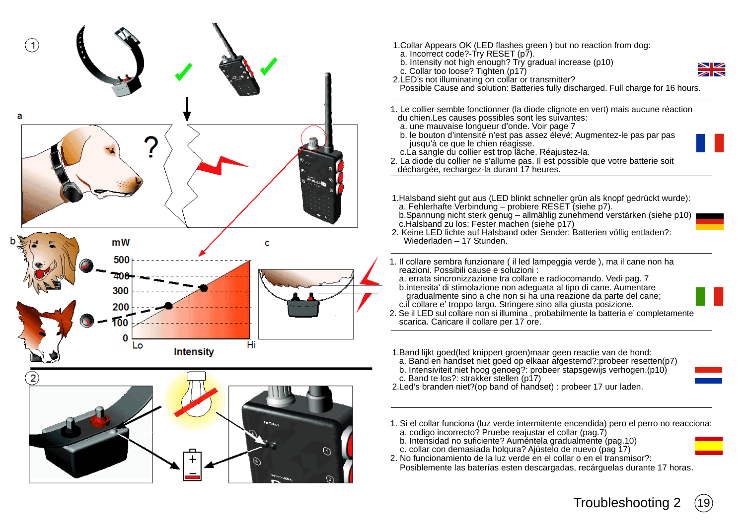

- 1.Collar Appears OK (LED flashes green ) but no reaction from dog:
	- a. Incorrect code?-Try RESET (p7).
- b. Intensity not high enough? Try gradual increase (p10)
- c. Collar too loose? Tighten (p17) 2. LED's not illuminating on collar or transmitter?



Possible Cause and solution: Batteries fully discharged. Full charge for 16 hours.

- 1. Le collier semble fonctionner (la diode clignote en vert) mais aucune réaction du chien.Les causes possibles sont les suivantes:
	- a. une mauvaise longueur d'onde. Voir page 7
	- b. le bouton d'intensité n'est pas assez élevé; Augmentez-le pas par pas jusqu'à ce que le chien réagisse.
	- c.La sangle du collier est trop lâche. Réajustez-la.
- 2. La diode du collier ne s'allume pas. Il est possible que votre batterie soit déchargée, rechargez-la durant 17 heures.
- 1.Halsband sieht gut aus (LED blinkt schneller grün als knopf gedrückt wurde): a. Fehlerhafte Verbindung – probiere RESET (siehe p7).
- b.Spannung nicht sterk genug allmählig zunehmend verstärken (siehe p10) c.Halsband zu los: Fester machen (siehe p17)
- 2. Keine LED lichte auf Halsband oder Sender: Batterien völlig entladen?: Wiederladen – 17 Stunden.
- 1. Il collare sembra funzionare ( il led lampeggia verde ), ma il cane non ha reazioni. Possibili cause e soluzioni :
	- a. errata sincronizzazione tra collare e radiocomando. Vedi pag. 7 b.intensita' di stimolazione non adeguata al tipo di cane. Aumentare gradualmente sino a che non si ha una reazione da parte del cane; c.il collare e' troppo largo. Stringere sino alla giusta posizione.
- 2. Se il LED sul collare non si illumina , probabilmente la batteria e' completamente scarica. Caricare il collare per 17 ore.
- 1.Band lijkt goed(led knippert groen)maar geen reactie van de hond:
- a. Band en handset niet goed op elkaar afgestemd?:probeer resetten(p7) b. Intensiviteit niet hoog genoeg?: probeer stapsgewijs verhogen.(p10)
- c. Band te los?: strakker stellen (p17)
- 2.Led's branden niet?(op band of handset) : probeer 17 uur laden.
- 1. Si el collar funciona (luz verde intermitente encendida) pero el perro no reacciona:
	- a. codigo incorrecto? Pruebe reajustar el collar (pag.7)
- b. Intensidad no suficiente? Auméntela gradualmente (pag.10)
- c. collar con demasiada holqura? Ajústelo de nuevo (pag 17)
- 2. No funcionamiento de la luz verde en el collar o en el transmisor?:
- Posiblemente las baterías esten descargadas, recárguelas durante 17 horas.



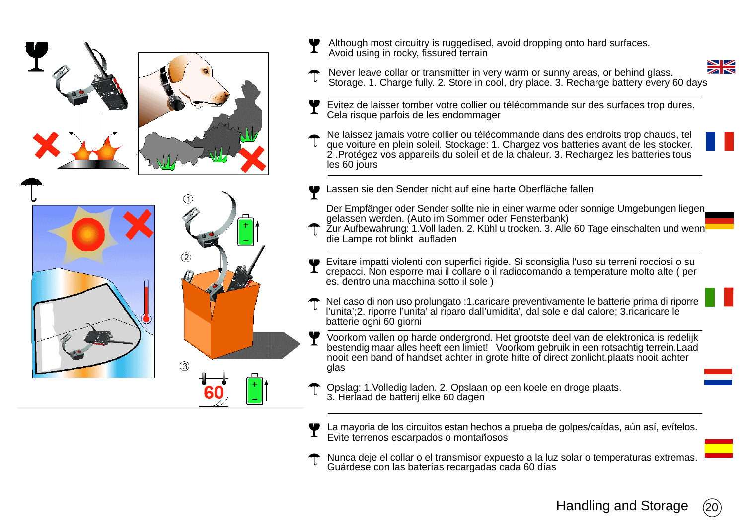





Although most circuitry is ruggedised, avoid dropping onto hard surfaces. Avoid using in rocky, fissured terrain



- Never leave collar or transmitter in very warm or sunny areas, or behind glass. Storage. 1. Charge fully. 2. Store in cool, dry place. 3. Recharge battery every 60 days
- Evitez de laisser tomber votre collier ou télécommande sur des surfaces trop dures. Cela risque parfois de les endommager
- Ne laissez jamais votre collier ou télécommande dans des endroits trop chauds, tel que voiture en plein soleil. Stockage: 1. Chargez vos batteries avant de les stocker. 2 .Protégez vos appareils du soleil et de la chaleur. 3. Rechargez les batteries tous les 60 jours
- Lassen sie den Sender nicht auf eine harte Oberfläche fallen
- Der Empfänger oder Sender sollte nie in einer warme oder sonnige Umgebungen liegen gelassen werden. (Auto im Sommer oder Fensterbank)
- Žur Aufbewahrung: 1. Voll laden. 2. Kühl u trocken. 3. Alle 60 Tage einschalten und wenn die Lampe rot blinkt aufladen
- Evitare impatti violenti con superfici rigide. Si sconsiglia l'uso su terreni rocciosi o su crepacci. Non esporre mai il collare o il radiocomando a temperature molto alte ( per es. dentro una macchina sotto il sole )
- Nel caso di non uso prolungato :1.caricare preventivamente le batterie prima di riporre l'unita';2. riporre l'unita' al riparo dall'umidita', dal sole e dal calore; 3.ricaricare le batterie ogni 60 giorni
- Voorkom vallen op harde ondergrond. Het grootste deel van de elektronica is redelijk bestendig maar alles heeft een limiet! Voorkom gebruik in een rotsachtig terrein.Laad nooit een band of handset achter in grote hitte of direct zonlicht.plaats nooit achter glas
- Opslag: 1.Volledig laden. 2. Opslaan op een koele en droge plaats. 3. Herlaad de batterij elke 60 dagen
- La mayoria de los circuitos estan hechos a prueba de golpes/caídas, aún así, evítelos. Evite terrenos escarpados o montañosos
- Nunca deje el collar o el transmisor expuesto a la luz solar o temperaturas extremas. Guárdese con las baterías recargadas cada 60 días

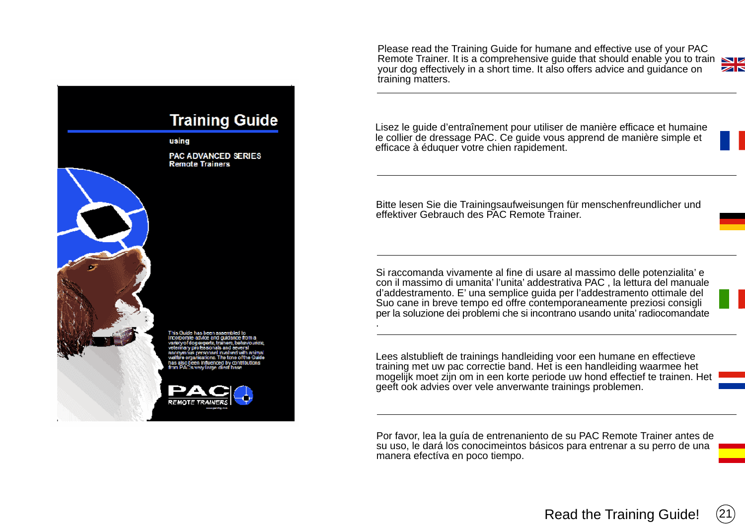Please read the Training Guide for humane and effective use of your PAC Remote Trainer. It is a comprehensive guide that should enable you to train your dog effectively in a short time. It also offers advice and guidance on ZN training matters.

Lisez le guide d'entraînement pour utiliser de manière efficace et humaine le collier de dressage PAC. Ce guide vous apprend de manière simple et efficace à éduquer votre chien rapidement.

Bitte lesen Sie die Trainingsaufweisungen für menschenfreundlicher und effektiver Gebrauch des PAC Remote Trainer.

Si raccomanda vivamente al fine di usare al massimo delle potenzialita' e con il massimo di umanita' l'unita' addestrativa PAC , la lettura del manuale d'addestramento. E' una semplice guida per l'addestramento ottimale del Suo cane in breve tempo ed offre contemporaneamente preziosi consigli per la soluzione dei problemi che si incontrano usando unita' radiocomandate

.

Lees alstublieft de trainings handleiding voor een humane en effectieve training met uw pac correctie band. Het is een handleiding waarmee het mogelijk moet zijn om in een korte periode uw hond effectief te trainen. Het geeft ook advies over vele anverwante trainings problemen.

Por favor, lea la guía de entrenaniento de su PAC Remote Trainer antes de su uso, le dará los conocimeintos básicos para entrenar a su perro de una manera efectíva en poco tiempo.



**Training Guide** 

PAC ADVANCED SERIES